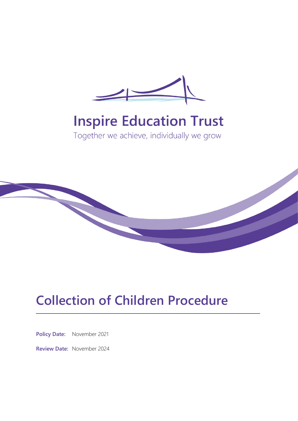

# **Inspire Education Trust**

Together we achieve, individually we grow



## **Collection of Children Procedure**

**Policy Date:** November 2021

**Review Date:** November 2024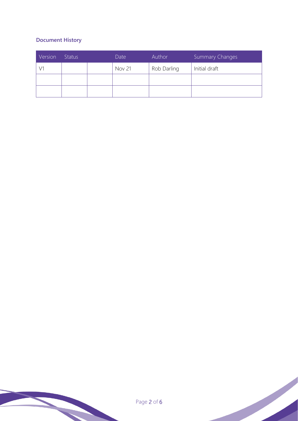### **Document History**

| Version | <b>Status</b> | Date          | Author      | <b>Summary Changes</b> |
|---------|---------------|---------------|-------------|------------------------|
|         |               | <b>Nov 21</b> | Rob Darling | Initial draft          |
|         |               |               |             |                        |
|         |               |               |             |                        |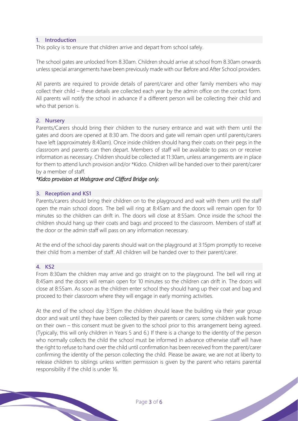#### **1. Introduction**

This policy is to ensure that children arrive and depart from school safely.

The school gates are unlocked from 8.30am. Children should arrive at school from 8.30am onwards unless special arrangements have been previously made with our Before and After School providers.

All parents are required to provide details of parent/carer and other family members who may collect their child – these details are collected each year by the admin office on the contact form. All parents will notify the school in advance if a different person will be collecting their child and who that person is.

#### **2. Nursery**

Parents/Carers should bring their children to the nursery entrance and wait with them until the gates and doors are opened at 8:30 am. The doors and gate will remain open until parents/carers have left (approximately 8:40am). Once inside children should hang their coats on their pegs in the classroom and parents can then depart. Members of staff will be available to pass on or receive information as necessary. Children should be collected at 11:30am, unless arrangements are in place for them to attend lunch provision and/or \*Kidco. Children will be handed over to their parent/carer by a member of staff.

#### *\*Kidco provision at Walsgrave and Clifford Bridge only.*

#### **3. Reception and KS1**

Parents/carers should bring their children on to the playground and wait with them until the staff open the main school doors. The bell will ring at 8:45am and the doors will remain open for 10 minutes so the children can drift in. The doors will close at 8:55am. Once inside the school the children should hang up their coats and bags and proceed to the classroom. Members of staff at the door or the admin staff will pass on any information necessary.

At the end of the school day parents should wait on the playground at 3:15pm promptly to receive their child from a member of staff. All children will be handed over to their parent/carer.

#### **4. KS2**

From 8:30am the children may arrive and go straight on to the playground. The bell will ring at 8:45am and the doors will remain open for 10 minutes so the children can drift in. The doors will close at 8:55am. As soon as the children enter school they should hang up their coat and bag and proceed to their classroom where they will engage in early morning activities.

At the end of the school day 3:15pm the children should leave the building via their year group door and wait until they have been collected by their parents or carers; some children walk home on their own – this consent must be given to the school prior to this arrangement being agreed. (Typically, this will only children in Years 5 and 6.) If there is a change to the identity of the person who normally collects the child the school must be informed in advance otherwise staff will have the right to refuse to hand over the child until confirmation has been received from the parent/carer confirming the identity of the person collecting the child. Please be aware, we are not at liberty to release children to siblings unless written permission is given by the parent who retains parental responsibility if the child is under 16.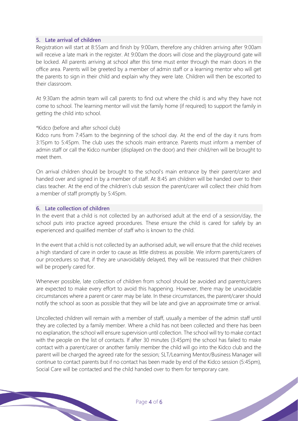#### **5. Late arrival of children**

Registration will start at 8:55am and finish by 9:00am, therefore any children arriving after 9:00am will receive a late mark in the register. At 9:00am the doors will close and the playground gate will be locked. All parents arriving at school after this time must enter through the main doors in the office area. Parents will be greeted by a member of admin staff or a learning mentor who will get the parents to sign in their child and explain why they were late. Children will then be escorted to their classroom.

At 9:30am the admin team will call parents to find out where the child is and why they have not come to school. The learning mentor will visit the family home (if required) to support the family in getting the child into school.

#### \*Kidco (before and after school club)

Kidco runs from 7:45am to the beginning of the school day. At the end of the day it runs from 3:15pm to 5:45pm. The club uses the schools main entrance. Parents must inform a member of admin staff or call the Kidco number (displayed on the door) and their child/ren will be brought to meet them.

On arrival children should be brought to the school's main entrance by their parent/carer and handed over and signed in by a member of staff. At 8:45 am children will be handed over to their class teacher. At the end of the children's club session the parent/carer will collect their child from a member of staff promptly by 5:45pm.

#### **6. Late collection of children**

In the event that a child is not collected by an authorised adult at the end of a session/day, the school puts into practice agreed procedures. These ensure the child is cared for safely by an experienced and qualified member of staff who is known to the child.

In the event that a child is not collected by an authorised adult, we will ensure that the child receives a high standard of care in order to cause as little distress as possible. We inform parents/carers of our procedures so that, if they are unavoidably delayed, they will be reassured that their children will be properly cared for.

Whenever possible, late collection of children from school should be avoided and parents/carers are expected to make every effort to avoid this happening. However, there may be unavoidable circumstances where a parent or carer may be late. In these circumstances, the parent/carer should notify the school as soon as possible that they will be late and give an approximate time or arrival.

Uncollected children will remain with a member of staff, usually a member of the admin staff until they are collected by a family member. Where a child has not been collected and there has been no explanation, the school will ensure supervision until collection. The school will try to make contact with the people on the list of contacts. If after 30 minutes (3:45pm) the school has failed to make contact with a parent/carer or another family member the child will go into the Kidco club and the parent will be charged the agreed rate for the session; SLT/Learning Mentor/Business Manager will continue to contact parents but if no contact has been made by end of the Kidco session (5:45pm), Social Care will be contacted and the child handed over to them for temporary care.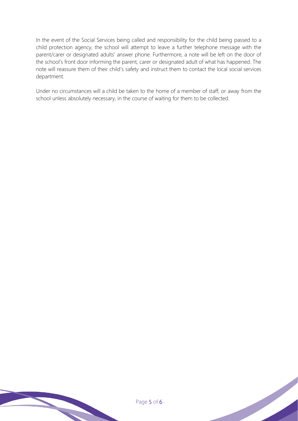In the event of the Social Services being called and responsibility for the child being passed to a child protection agency, the school will attempt to leave a further telephone message with the parent/carer or designated adults' answer phone. Furthermore, a note will be left on the door of the school's front door informing the parent, carer or designated adult of what has happened. The note will reassure them of their child's safety and instruct them to contact the local social services department.

Under no circumstances will a child be taken to the home of a member of staff, or away from the school unless absolutely necessary, in the course of waiting for them to be collected.